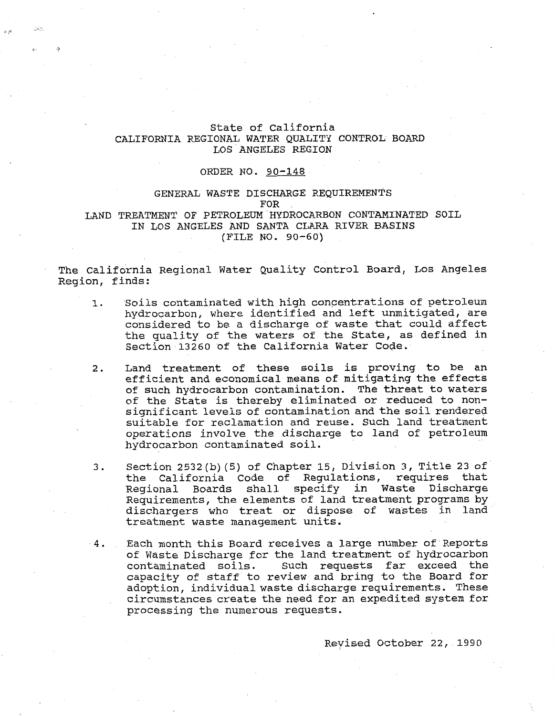## State of California CALIFORNIA REGIONAL WATER QUALITY CONTROL. BOARD LOS'ANGELES REGION

## ORDER NO. 90-148

## GENERAL WASTE DISCHARGE REQUIREMENTS FOR LAND TREATMENT OF PETROLEUM HYDROCARBON CONTAMINATED SOIL IN LOS ANGELES AND SANTA CLARA RIVER BASINS (FILE NO. 90-60)

'he California Regional Water Quality Control Board, Los Angeles<br>Region, finds:

- 1. Soils contaminated with high concentrations of petroleum hydrocarbon, where identified and left unmitigated, are considered to be a discharge of waste that could affect the quality of the waters of the State, as defined in Section 13260 of the California Water Code.
- 2. Land treatment of these soils is proving to be an efficient and economical means of mitigating the effects of such hydrocarbon contamination. The threat to waters of the State is thereby eliminated or reduced to nonsignificant levels of contamination and the soil rendered suitable for reclamation and reuse. Such land treatment operations involve the discharge to land of petroleum hydrocarbon contaminated soil.
- 3. Section  $2532(b)$  (5) of Chapter 15, Division 3, Title 23 of the California Code of Regulations, requires that Regional Boards shall specify in Waste Discharge Requirements, the elements of land treatment programs by dischargers who treat or dispose of wastes in land treatment waste management units.
- 4. Each month this Board receives a large number of Reports of Waste Discharge for the land treatment of hydrocarbon contaminated soils. Such requests far exceed the capacity of staff to review and bring to the Board for adoption, individual waste discharge requirements. These circumstances create the need for an expedited system for processing the numerous requests.

Revised October 22, 1990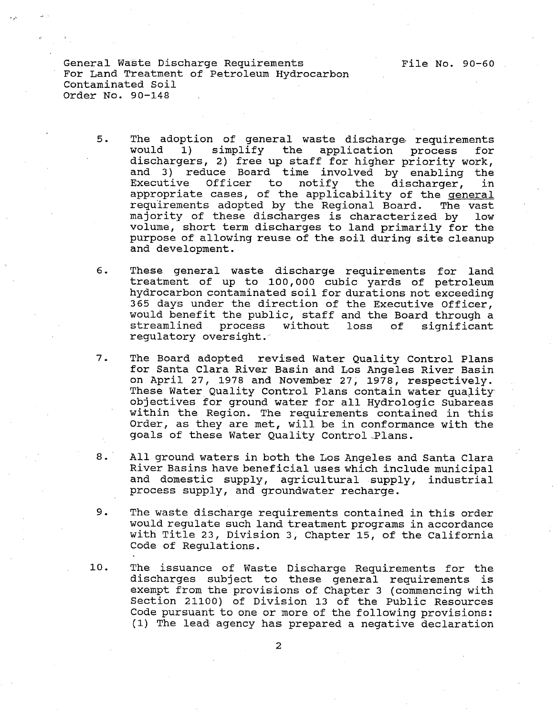- $5.$ The adoption of general waste discharge. requirements would **1)** simplify the application process for dischargers, 2) free up staff for higher priority work, and 3) reduce Board time involved by enabling the<br>Executive Officer to notify the discharger, in notify the discharger, in appropriate cases, of the applicability of the general requirements adopted by the Regional Board. The vast majority of these discharges is characterized by low volume, short term discharges to land primarily for the purpose of allowing reuse of the soil during site cleanup and development.
- $6.$ These general waste discharge requirements for land treatment of up to **100,000** cubic yards of petroleum hydrocarbon contaminated soil for durations not exceeding 365 days under the direction of the Executive Officer, would benefit the public, staff and the Board through a streamlined process without loss of significant loss of significant regulatory oversight.
- $7.$ The Board adopted revised Water Quality Control Plans for Santa Clara River Basin and Los Angeles River Basin on April 27, 1978 and November 27, **1978,** respectively. These Water Quality Control Plans contain water quality objectives for ground water for all Hydrologic Subareas within the Region. The requirements contained in this Order, as they are met, will be in conformance with the goals of these Water Quality Control-Plans.
- $8.$ All ground waters in both the Los Angeles and Santa Clara River Basins have beneficial uses which include municipal and domestic supply, agricultural supply, industrial process supply, and groundwater recharge.
- $9.$ The waste discharge requirements contained in this order would regulate such land treatment programs in accordance with Title 23, Division 3, Chapter 15, of the California Code of Regulations.
- 10. The issuance of Waste Discharge Requirements for the discharges subject to these general requirements is exempt from the provisions of Chapter **3** (commencing with Section **21100)** of Division **13** of the Public Resources Code pursuant to one or more of the following provisions: **(1)** The lead- agency has prepared a negative declaration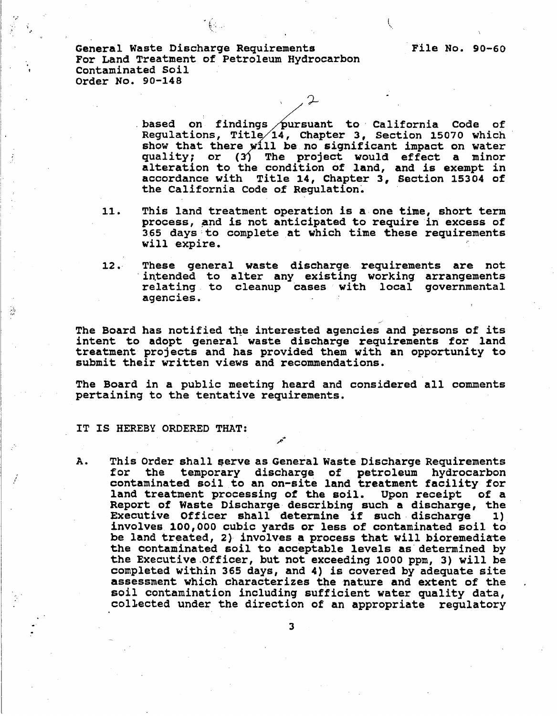> based on findings pursuant to California Code of **3, Section 15070 which**  show that there will be no significant impact on water **conditionally** is, enable is, section 15070 which<br>
> show that there will be no significant impact on water<br>
> quality; or (3) The project would effect a minor<br>
> alteration to the condition of land, and is exempt in **accordance with Title 14, Chapter 3, Section 15304 of the California Code of Regulation.**

- **11. This land treatment operation is a one time, short term process, and is not anticipated to require in excess of 365 days to complete at which time these requirements will expire.**
- **12. These general waste discharge requirements are not intended to alter any existing working arrangements relating to cleanup cases with local governmental agencies.**

**The Board has notified the interested agencies and persons of its intent to adopt general waste discharge requirements for land treatment projects and has provided them with an opportunity to submit their written views and recommendations.** 

**The Board in a public meeting heard and considered all comments pertaining to the tentative requirements.** 

**f** 

## **IT IS HEREBY ORDERED THAT:**

ä

**A. This Order shall serve as General Waste Discharge Requirements for the temporary discharge of petroleum hydrocarbon contaminated soil to an on-site land treatment facility for land treatment processing of the soil. Upon receipt of a Report of Waste Discharge describing such a discharge, the Executive Officer shall determine if such discharge I) involves 100,000 cubic yards or less of contaminated soil to be land treated, 2) involves a process that will bioremediae the contaminated soil to acceptable levels as determined by the Executive.Officer, but not exceeding 1000 ppm, 3) will be completed within 365 days, and 4) is covered by adequate site assessment which characterizes the nature and extent of the soil contamination including sufficient water quality data, collected under the direction of an appropriate regulatory**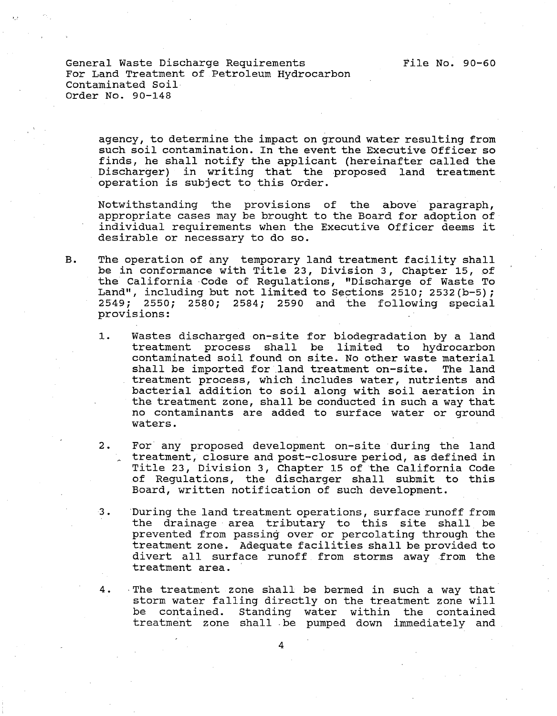> agency, to determine the impact on ground water resulting from such soil contamination. In the event the Executive Officer so finds, he shall notify the applicant (hereinafter called the Discharger) in writing that the proposed land treatment operation is subject to this Order.

> Notwithstanding the provisions of the above paragraph, appropriate cases may be brought to the Board for adoption of individual requirements when the Executive Officer deems it desirable or necessary to do so.

- B. The operation of any temporary land treatment facility shall be in conformance with Title 23, Division 3, Chapter 15, of the California .Code of Regulations, I1Discharge of Waste To Land", including but not limited to Sections 2510; 2532 (b-5) ; 2549; 2550; 2580; 2584; 2590 and the following special provisions:
	- 1. Wastes discharged on-site for biodegradation by a land treatment process shall be limited to hydrocarbon contaminated soil found on site. No other waste material shall be imported for land treatment on-site. The land treatment process, which includes water, nutrients and bacterial addition to soil along with soil aeration in the treatment zone, shall be conducted in such a way that no contaminants are added to surface water or ground waters.
	- 2. For any proposed development on-site during the land treatment, closure and post-closure period, as defined in Title 23, Division 3, Chapter 15 of the California Code of Regulations, the discharger shall submit to this Board, written notification of such development.
	- 3. During the land treatment operations, surface runoff from the drainage area tributary to this site shall be prevented from passing over or percolating through the treatment zone. Adequate facilities shall be provided to divert all surface runoff from storms away from the treatment area.
	- 4. The treatment zone shall be bermed in such a way that storm water falling directly on the treatment zone will be contained. Standing water within the contained treatment zone shall .be pumped down immediately and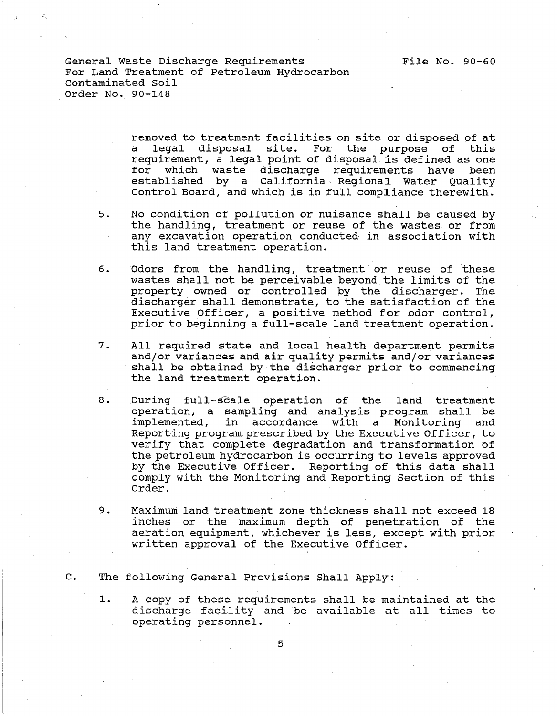> removed to treatment facilities on site or disposed of at a legal disposal site. For the purpose of this requirement, a legal point of disposal is defined as one for which waste discharge requirements have been established by a California Regional Water Quality Control Board, and which is in full compliance therewith.

- 5. No condition of pollution or nuisance shall be caused by the handling, treatment or reuse of the wastes or from any excavation operation conducted in association with this land treatment operation.
- 6. Odors from the handling, treatment or reuse of these wastes shall not be perceivable beyond the limits of the property owned or controlled by the discharger. The discharger shall demonstrate, to the satisfaction of the Executive Officer, a positive method for odor control, prior to beginning a full-scale land treatment operation.
- 7. All required state and local health department permits and/or variances and air quality permits and/or variances shall be obtained by the discharger prior to commencing the land treatment operation.
- $8.$ During full-scale operation of the land treatment operation, a sampling and analysis program shall be implemented, in accordance with a Monitoring and Reporting program prescribed by the Executive Officer, to verify that complete degradation and transformation of the petroleum hydrocarbon is occurring to levels approved by the Executive Officer. Reporting of this data shall comply with the Monitoring and Reporting Section of this Order.
- 9. Maximum land treatment zone thickness shall not exceed 18 inches or the maximum depth of penetration of the aeration equipment, whichever is less, except with prior written approval of the Executive Officer.
- C. The following General Provisions Shall Apply:
	- 1. A copy of these requirements shall be maintained at the discharge facility and be available at all times to operating personnel.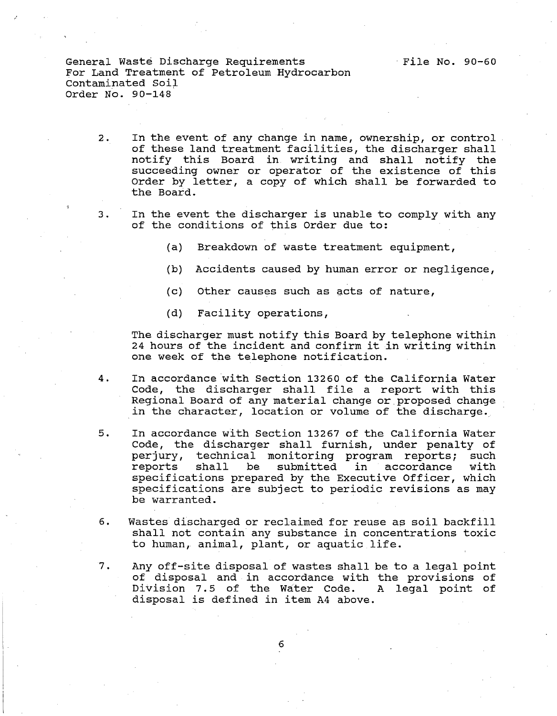- 2. In the event of any change in name, ownership, or control of these land treatment facilities, the discharger shall notify this Board in writing and shall notify the succeeding owner or operator of the existence of this Order by letter, a copy of which shall be forwarded to the Board.
- **3.** In the event the discharger is unable to comply with any of the conditions of this Order due to:
	- (a) Breakdown of waste treatment equipment,
	- (b) Accidents caused by human error or negligence,
	- (c) Other causes such as acts of nature,
	- (d) Facility operations,

The discharger must notify this Board by telephone within 24 hours of the incident and confirm it in writing within one week of the telephone notification.

- 4. In accordance with Section **13260** of the California Water Code, the discharger shall file a report with this Regional Board of any material change or proposed change in the character, location or volume of the discharge.
- 5. In accordance with Section 13267 of the California Water Code, the discharger shall furnish, under penalty of perjury, technical monitoring program reports; such reports shall be submitted in accordance with specifications prepared by the Executive Officer, which specifications are subject to periodic revisions as may be warranted.
- **6.** Wastes discharged or reclaimed for reuse as soil backfill shall not contain any substance in concentrations toxic to human, animal, plant, or aquatic life.
- **7.** Any off-site disposal of wastes shall be to a legal point of disposal and in accordance with the provisions of Division 7.5 of the Water Code. A legal point of disposal is defined in item A4 above.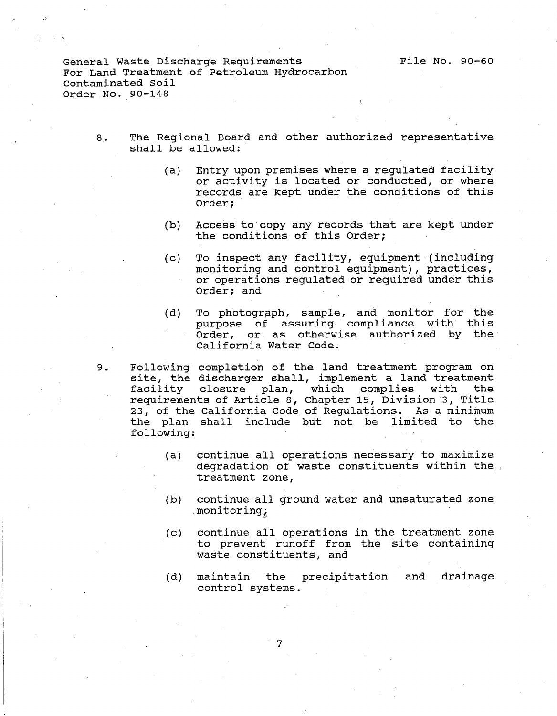- 8. The Regional Board and other authorized representative shall be allowed:
	- (a) Entry upon premises where a regulated facility or activity is located or conducted, or where records are kept under the conditions of this Order ;
	- (b) Access to copy any records that are kept under the conditions of this Order;
	- (c) To inspect any facility, equipment (including monitoring and control equipment), practices, or operations regulated or required under this Order; and
	- (d) To photograph, sample, and monitor for the purpose of assuring compliance with this Order, or as otherwise authorized by the California Water Code.
- 9. Following completion of the land treatment program on site, the discharger shall, implement a land treatment<br>facility closure plan, which complies with the closure plan, which complies requirements of Article 8, Chapter 15, Division 3, Title 23, of the California Code of Regulations. As a minimum the plan shall include but not be limited to the following:
	- (a) continue all operations necessary to maximize degradation of waste constituents within the treatment zone,
	- (b) continue all ground water and unsaturated zone monitoring,
	- (c) continue all operations in the treatment zone to prevent runoff from the site containing waste constituents, and
	- (d) maintain the precipitation and drainage control systems.